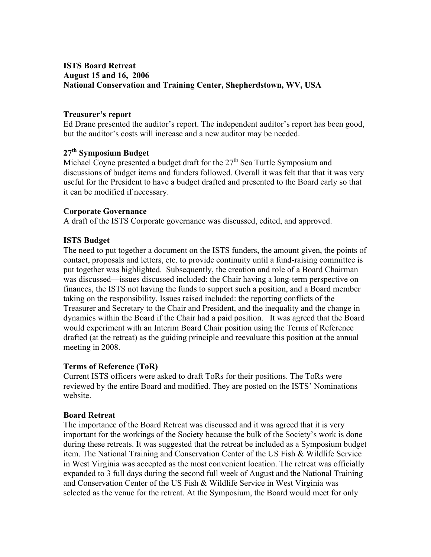# **ISTS Board Retreat August 15 and 16, 2006 National Conservation and Training Center, Shepherdstown, WV, USA**

### **Treasurer's report**

Ed Drane presented the auditor's report. The independent auditor's report has been good, but the auditor's costs will increase and a new auditor may be needed.

## **27th Symposium Budget**

Michael Coyne presented a budget draft for the  $27<sup>th</sup>$  Sea Turtle Symposium and discussions of budget items and funders followed. Overall it was felt that that it was very useful for the President to have a budget drafted and presented to the Board early so that it can be modified if necessary.

### **Corporate Governance**

A draft of the ISTS Corporate governance was discussed, edited, and approved.

### **ISTS Budget**

The need to put together a document on the ISTS funders, the amount given, the points of contact, proposals and letters, etc. to provide continuity until a fund-raising committee is put together was highlighted. Subsequently, the creation and role of a Board Chairman was discussed—issues discussed included: the Chair having a long-term perspective on finances, the ISTS not having the funds to support such a position, and a Board member taking on the responsibility. Issues raised included: the reporting conflicts of the Treasurer and Secretary to the Chair and President, and the inequality and the change in dynamics within the Board if the Chair had a paid position. It was agreed that the Board would experiment with an Interim Board Chair position using the Terms of Reference drafted (at the retreat) as the guiding principle and reevaluate this position at the annual meeting in 2008.

#### **Terms of Reference (ToR)**

Current ISTS officers were asked to draft ToRs for their positions. The ToRs were reviewed by the entire Board and modified. They are posted on the ISTS' Nominations website.

#### **Board Retreat**

The importance of the Board Retreat was discussed and it was agreed that it is very important for the workings of the Society because the bulk of the Society's work is done during these retreats. It was suggested that the retreat be included as a Symposium budget item. The National Training and Conservation Center of the US Fish & Wildlife Service in West Virginia was accepted as the most convenient location. The retreat was officially expanded to 3 full days during the second full week of August and the National Training and Conservation Center of the US Fish & Wildlife Service in West Virginia was selected as the venue for the retreat. At the Symposium, the Board would meet for only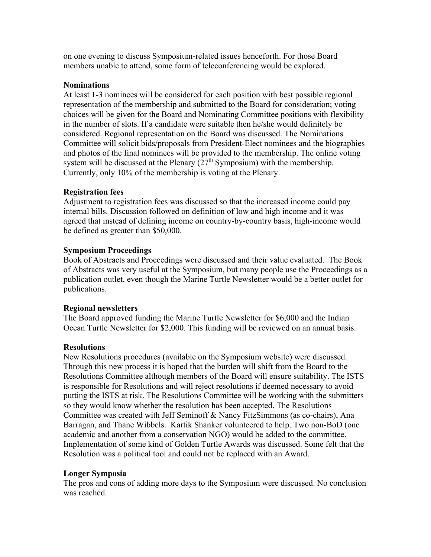on one evening to discuss Symposium-related issues henceforth. For those Board members unable to attend, some form of teleconferencing would be explored.

### **Nominations**

At least 1-3 nominees will be considered for each position with best possible regional representation of the membership and submitted to the Board for consideration; voting choices will be given for the Board and Nominating Committee positions with flexibility in the number of slots. If a candidate were suitable then he/she would definitely be considered. Regional representation on the Board was discussed. The Nominations Committee will solicit bids/proposals from President-Elect nominees and the biographies and photos of the final nominees will be provided to the membership. The online voting system will be discussed at the Plenary  $(27<sup>th</sup>$  Symposium) with the membership. Currently, only 10% of the membership is voting at the Plenary.

## **Registration fees**

Adjustment to registration fees was discussed so that the increased income could pay internal bills. Discussion followed on definition of low and high income and it was agreed that instead of defining income on country-by-country basis, high-income would be defined as greater than \$50,000.

### **Symposium Proceedings**

Book of Abstracts and Proceedings were discussed and their value evaluated. The Book of Abstracts was very useful at the Symposium, but many people use the Proceedings as a publication outlet, even though the Marine Turtle Newsletter would be a better outlet for publications.

#### **Regional newsletters**

The Board approved funding the Marine Turtle Newsletter for \$6,000 and the Indian Ocean Turtle Newsletter for \$2,000. This funding will be reviewed on an annual basis.

## **Resolutions**

New Resolutions procedures (available on the Symposium website) were discussed. Through this new process it is hoped that the burden will shift from the Board to the Resolutions Committee although members of the Board will ensure suitability. The ISTS is responsible for Resolutions and will reject resolutions if deemed necessary to avoid putting the ISTS at risk. The Resolutions Committee will be working with the submitters so they would know whether the resolution has been accepted. The Resolutions Committee was created with Jeff Seminoff & Nancy FitzSimmons (as co-chairs), Ana Barragan, and Thane Wibbels. Kartik Shanker volunteered to help. Two non-BoD (one academic and another from a conservation NGO) would be added to the committee. Implementation of some kind of Golden Turtle Awards was discussed. Some felt that the Resolution was a political tool and could not be replaced with an Award.

#### **Longer Symposia**

The pros and cons of adding more days to the Symposium were discussed. No conclusion was reached.